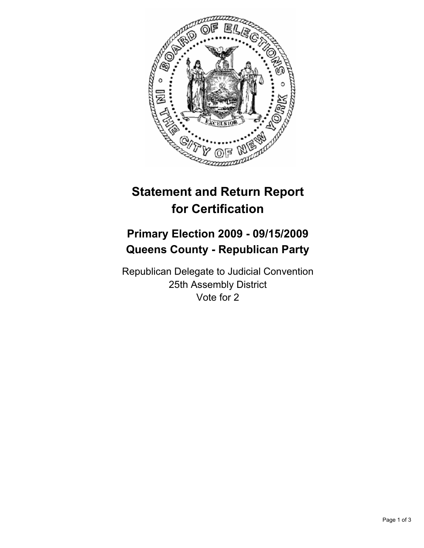

## **Statement and Return Report for Certification**

## **Primary Election 2009 - 09/15/2009 Queens County - Republican Party**

Republican Delegate to Judicial Convention 25th Assembly District Vote for 2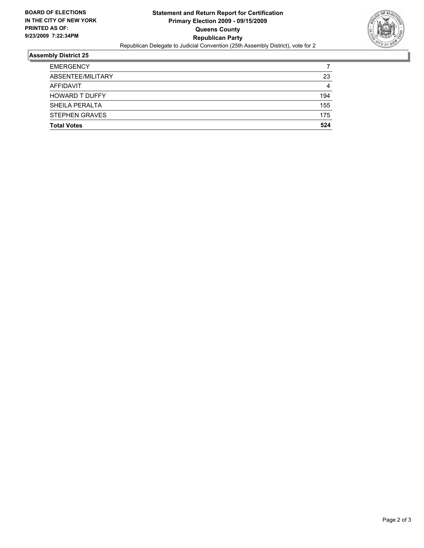

## **Assembly District 25**

| <b>EMERGENCY</b>      |     |
|-----------------------|-----|
| ABSENTEE/MILITARY     | 23  |
|                       |     |
| AFFIDAVIT             | 4   |
| <b>HOWARD T DUFFY</b> | 194 |
|                       |     |
| SHEILA PERALTA        | 155 |
| <b>STEPHEN GRAVES</b> | 175 |
|                       |     |
| <b>Total Votes</b>    | 524 |
|                       |     |